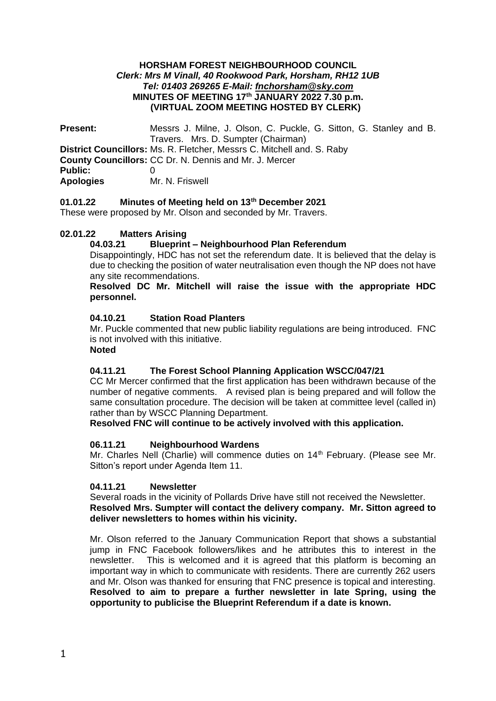### **HORSHAM FOREST NEIGHBOURHOOD COUNCIL** *Clerk: Mrs M Vinall, 40 Rookwood Park, Horsham, RH12 1UB Tel: 01403 269265 E-Mail: [fnchorsham@sky.com](about:blank)* **MINUTES OF MEETING 17th JANUARY 2022 7.30 p.m. (VIRTUAL ZOOM MEETING HOSTED BY CLERK)**

**Present:** Messrs J. Milne, J. Olson, C. Puckle, G. Sitton, G. Stanley and B. Travers. Mrs. D. Sumpter (Chairman) **District Councillors:** Ms. R. Fletcher, Messrs C. Mitchell and. S. Raby **County Councillors:** CC Dr. N. Dennis and Mr. J. Mercer **Public:** 0 **Apologies** Mr. N. Friswell

## **01.01.22 Minutes of Meeting held on 13th December 2021**

These were proposed by Mr. Olson and seconded by Mr. Travers.

# **02.01.22 Matters Arising**

# **04.03.21 Blueprint – Neighbourhood Plan Referendum**

Disappointingly, HDC has not set the referendum date. It is believed that the delay is due to checking the position of water neutralisation even though the NP does not have any site recommendations.

**Resolved DC Mr. Mitchell will raise the issue with the appropriate HDC personnel.**

## **04.10.21 Station Road Planters**

Mr. Puckle commented that new public liability regulations are being introduced. FNC is not involved with this initiative.

**Noted**

## **04.11.21 The Forest School Planning Application WSCC/047/21**

CC Mr Mercer confirmed that the first application has been withdrawn because of the number of negative comments. A revised plan is being prepared and will follow the same consultation procedure. The decision will be taken at committee level (called in) rather than by WSCC Planning Department.

# **Resolved FNC will continue to be actively involved with this application.**

## **06.11.21 Neighbourhood Wardens**

Mr. Charles Nell (Charlie) will commence duties on 14<sup>th</sup> February. (Please see Mr. Sitton's report under Agenda Item 11.

## **04.11.21 Newsletter**

Several roads in the vicinity of Pollards Drive have still not received the Newsletter. **Resolved Mrs. Sumpter will contact the delivery company. Mr. Sitton agreed to deliver newsletters to homes within his vicinity.**

Mr. Olson referred to the January Communication Report that shows a substantial jump in FNC Facebook followers/likes and he attributes this to interest in the newsletter. This is welcomed and it is agreed that this platform is becoming an important way in which to communicate with residents. There are currently 262 users and Mr. Olson was thanked for ensuring that FNC presence is topical and interesting. **Resolved to aim to prepare a further newsletter in late Spring, using the opportunity to publicise the Blueprint Referendum if a date is known.**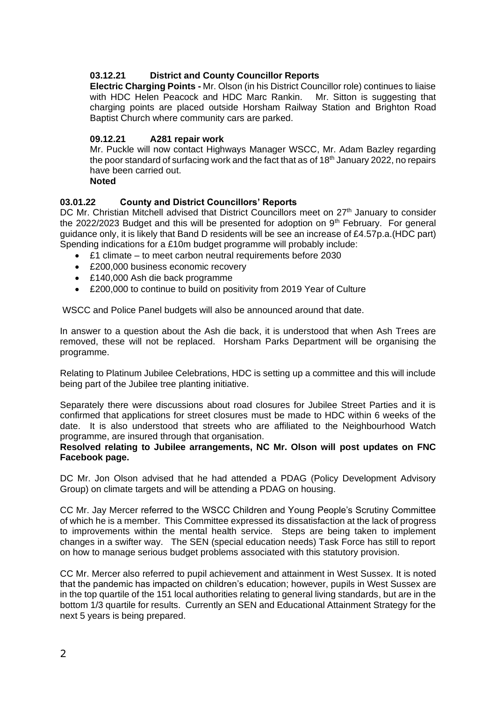# **03.12.21 District and County Councillor Reports**

**Electric Charging Points -** Mr. Olson (in his District Councillor role) continues to liaise with HDC Helen Peacock and HDC Marc Rankin. Mr. Sitton is suggesting that charging points are placed outside Horsham Railway Station and Brighton Road Baptist Church where community cars are parked.

## **09.12.21 A281 repair work**

Mr. Puckle will now contact Highways Manager WSCC, Mr. Adam Bazley regarding the poor standard of surfacing work and the fact that as of  $18<sup>th</sup>$  January 2022, no repairs have been carried out.

# **Noted**

## **03.01.22 County and District Councillors' Reports**

DC Mr. Christian Mitchell advised that District Councillors meet on 27<sup>th</sup> January to consider the 2022/2023 Budget and this will be presented for adoption on  $9<sup>th</sup>$  February. For general guidance only, it is likely that Band D residents will be see an increase of £4.57p.a.(HDC part) Spending indications for a £10m budget programme will probably include:

- £1 climate to meet carbon neutral requirements before 2030
- £200,000 business economic recovery
- £140,000 Ash die back programme
- £200,000 to continue to build on positivity from 2019 Year of Culture

WSCC and Police Panel budgets will also be announced around that date.

In answer to a question about the Ash die back, it is understood that when Ash Trees are removed, these will not be replaced. Horsham Parks Department will be organising the programme.

Relating to Platinum Jubilee Celebrations, HDC is setting up a committee and this will include being part of the Jubilee tree planting initiative.

Separately there were discussions about road closures for Jubilee Street Parties and it is confirmed that applications for street closures must be made to HDC within 6 weeks of the date. It is also understood that streets who are affiliated to the Neighbourhood Watch programme, are insured through that organisation.

#### **Resolved relating to Jubilee arrangements, NC Mr. Olson will post updates on FNC Facebook page.**

DC Mr. Jon Olson advised that he had attended a PDAG (Policy Development Advisory Group) on climate targets and will be attending a PDAG on housing.

CC Mr. Jay Mercer referred to the WSCC Children and Young People's Scrutiny Committee of which he is a member. This Committee expressed its dissatisfaction at the lack of progress to improvements within the mental health service. Steps are being taken to implement changes in a swifter way. The SEN (special education needs) Task Force has still to report on how to manage serious budget problems associated with this statutory provision.

CC Mr. Mercer also referred to pupil achievement and attainment in West Sussex. It is noted that the pandemic has impacted on children's education; however, pupils in West Sussex are in the top quartile of the 151 local authorities relating to general living standards, but are in the bottom 1/3 quartile for results. Currently an SEN and Educational Attainment Strategy for the next 5 years is being prepared.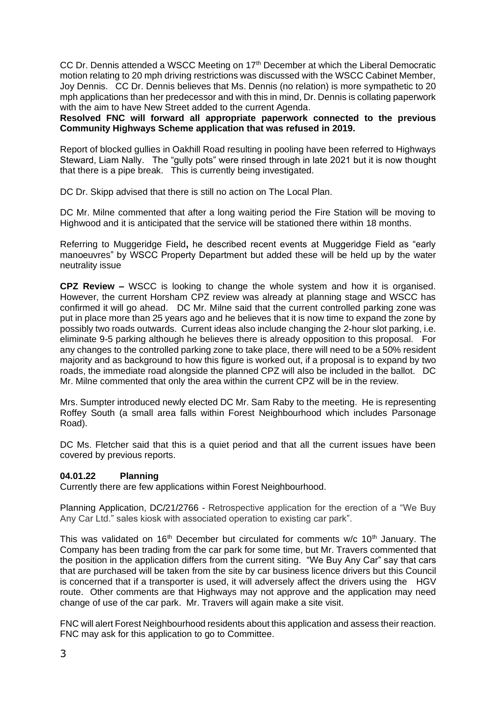CC Dr. Dennis attended a WSCC Meeting on 17<sup>th</sup> December at which the Liberal Democratic motion relating to 20 mph driving restrictions was discussed with the WSCC Cabinet Member, Joy Dennis. CC Dr. Dennis believes that Ms. Dennis (no relation) is more sympathetic to 20 mph applications than her predecessor and with this in mind, Dr. Dennis is collating paperwork with the aim to have New Street added to the current Agenda.

**Resolved FNC will forward all appropriate paperwork connected to the previous Community Highways Scheme application that was refused in 2019.**

Report of blocked gullies in Oakhill Road resulting in pooling have been referred to Highways Steward, Liam Nally. The "gully pots" were rinsed through in late 2021 but it is now thought that there is a pipe break. This is currently being investigated.

DC Dr. Skipp advised that there is still no action on The Local Plan.

DC Mr. Milne commented that after a long waiting period the Fire Station will be moving to Highwood and it is anticipated that the service will be stationed there within 18 months.

Referring to Muggeridge Field**,** he described recent events at Muggeridge Field as "early manoeuvres" by WSCC Property Department but added these will be held up by the water neutrality issue

**CPZ Review –** WSCC is looking to change the whole system and how it is organised. However, the current Horsham CPZ review was already at planning stage and WSCC has confirmed it will go ahead. DC Mr. Milne said that the current controlled parking zone was put in place more than 25 years ago and he believes that it is now time to expand the zone by possibly two roads outwards. Current ideas also include changing the 2-hour slot parking, i.e. eliminate 9-5 parking although he believes there is already opposition to this proposal. For any changes to the controlled parking zone to take place, there will need to be a 50% resident majority and as background to how this figure is worked out, if a proposal is to expand by two roads, the immediate road alongside the planned CPZ will also be included in the ballot. DC Mr. Milne commented that only the area within the current CPZ will be in the review.

Mrs. Sumpter introduced newly elected DC Mr. Sam Raby to the meeting. He is representing Roffey South (a small area falls within Forest Neighbourhood which includes Parsonage Road).

DC Ms. Fletcher said that this is a quiet period and that all the current issues have been covered by previous reports.

## **04.01.22 Planning**

Currently there are few applications within Forest Neighbourhood.

Planning Application, DC/21/2766 - Retrospective application for the erection of a "We Buy Any Car Ltd." sales kiosk with associated operation to existing car park".

This was validated on  $16<sup>th</sup>$  December but circulated for comments w/c  $10<sup>th</sup>$  January. The Company has been trading from the car park for some time, but Mr. Travers commented that the position in the application differs from the current siting. "We Buy Any Car" say that cars that are purchased will be taken from the site by car business licence drivers but this Council is concerned that if a transporter is used, it will adversely affect the drivers using the HGV route. Other comments are that Highways may not approve and the application may need change of use of the car park. Mr. Travers will again make a site visit.

FNC will alert Forest Neighbourhood residents about this application and assess their reaction. FNC may ask for this application to go to Committee.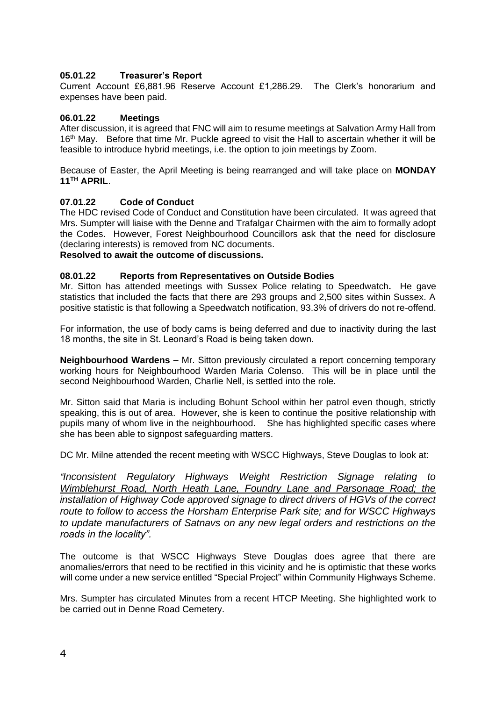# **05.01.22 Treasurer's Report**

Current Account £6,881.96 Reserve Account £1,286.29. The Clerk's honorarium and expenses have been paid.

### **06.01.22 Meetings**

After discussion, it is agreed that FNC will aim to resume meetings at Salvation Army Hall from 16<sup>th</sup> May. Before that time Mr. Puckle agreed to visit the Hall to ascertain whether it will be feasible to introduce hybrid meetings, i.e. the option to join meetings by Zoom.

Because of Easter, the April Meeting is being rearranged and will take place on **MONDAY 11TH APRIL**.

## **07.01.22 Code of Conduct**

The HDC revised Code of Conduct and Constitution have been circulated. It was agreed that Mrs. Sumpter will liaise with the Denne and Trafalgar Chairmen with the aim to formally adopt the Codes. However, Forest Neighbourhood Councillors ask that the need for disclosure (declaring interests) is removed from NC documents.

# **Resolved to await the outcome of discussions.**

### **08.01.22 Reports from Representatives on Outside Bodies**

Mr. Sitton has attended meetings with Sussex Police relating to Speedwatch**.** He gave statistics that included the facts that there are 293 groups and 2,500 sites within Sussex. A positive statistic is that following a Speedwatch notification, 93.3% of drivers do not re-offend.

For information, the use of body cams is being deferred and due to inactivity during the last 18 months, the site in St. Leonard's Road is being taken down.

**Neighbourhood Wardens –** Mr. Sitton previously circulated a report concerning temporary working hours for Neighbourhood Warden Maria Colenso. This will be in place until the second Neighbourhood Warden, Charlie Nell, is settled into the role.

Mr. Sitton said that Maria is including Bohunt School within her patrol even though, strictly speaking, this is out of area. However, she is keen to continue the positive relationship with pupils many of whom live in the neighbourhood. She has highlighted specific cases where she has been able to signpost safeguarding matters.

DC Mr. Milne attended the recent meeting with WSCC Highways, Steve Douglas to look at:

*"Inconsistent Regulatory Highways Weight Restriction Signage relating to Wimblehurst Road, North Heath Lane, Foundry Lane and Parsonage Road; the installation of Highway Code approved signage to direct drivers of HGVs of the correct route to follow to access the Horsham Enterprise Park site; and for WSCC Highways to update manufacturers of Satnavs on any new legal orders and restrictions on the roads in the locality".*

The outcome is that WSCC Highways Steve Douglas does agree that there are anomalies/errors that need to be rectified in this vicinity and he is optimistic that these works will come under a new service entitled "Special Project" within Community Highways Scheme.

Mrs. Sumpter has circulated Minutes from a recent HTCP Meeting. She highlighted work to be carried out in Denne Road Cemetery.